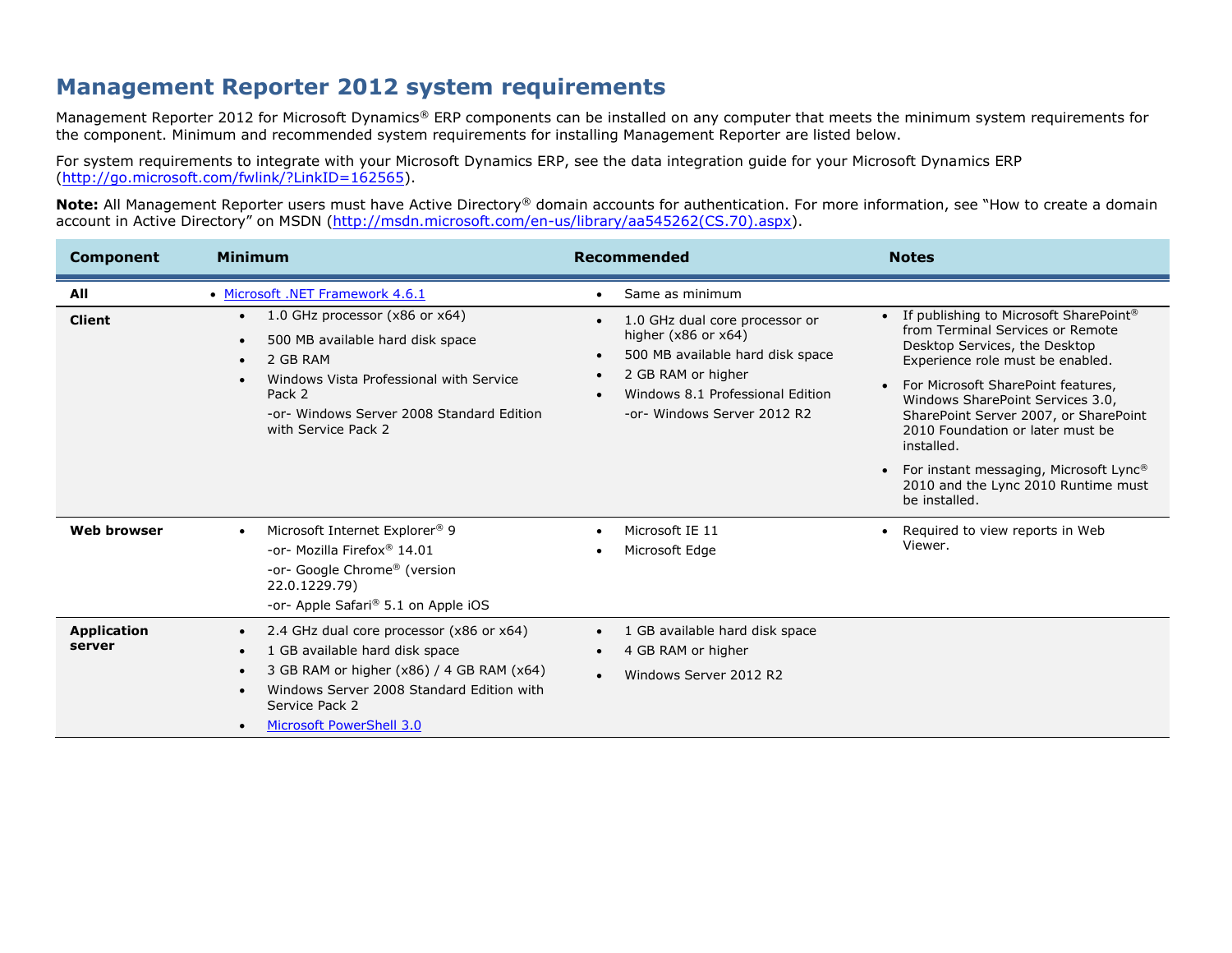## **Management Reporter 2012 system requirements**

Management Reporter 2012 for Microsoft Dynamics® ERP components can be installed on any computer that meets the minimum system requirements for the component. Minimum and recommended system requirements for installing Management Reporter are listed below.

For system requirements to integrate with your Microsoft Dynamics ERP, see the data integration guide for your Microsoft Dynamics ERP [\(http://go.microsoft.com/fwlink/?LinkID=162565\)](http://go.microsoft.com/fwlink/?LinkID=162565).

**Note:** All Management Reporter users must have Active Directory® domain accounts for authentication. For more information, see "How to create a domain account in Active Directory" on MSDN ([http://msdn.microsoft.com/en-us/library/aa545262\(CS.70\).aspx\)](http://msdn.microsoft.com/en-us/library/aa545262(CS.70).aspx).

| <b>Component</b>             | <b>Minimum</b>                                                                                                                                                                                                                                                                                      | Recommended                                                                                                                                                                                                                                                                | <b>Notes</b>                                                                                                                                                                                                                                                                                                                                                                                                                                     |
|------------------------------|-----------------------------------------------------------------------------------------------------------------------------------------------------------------------------------------------------------------------------------------------------------------------------------------------------|----------------------------------------------------------------------------------------------------------------------------------------------------------------------------------------------------------------------------------------------------------------------------|--------------------------------------------------------------------------------------------------------------------------------------------------------------------------------------------------------------------------------------------------------------------------------------------------------------------------------------------------------------------------------------------------------------------------------------------------|
| All<br><b>Client</b>         | • Microsoft .NET Framework 4.6.1<br>1.0 GHz processor $(x86$ or $x64)$<br>$\bullet$<br>500 MB available hard disk space<br>$\bullet$<br>2 GB RAM<br>$\bullet$<br>Windows Vista Professional with Service<br>$\bullet$<br>Pack 2<br>-or- Windows Server 2008 Standard Edition<br>with Service Pack 2 | Same as minimum<br>$\bullet$<br>1.0 GHz dual core processor or<br>$\bullet$<br>higher $(x86$ or $x64)$<br>500 MB available hard disk space<br>$\bullet$<br>2 GB RAM or higher<br>$\bullet$<br>Windows 8.1 Professional Edition<br>$\bullet$<br>-or- Windows Server 2012 R2 | If publishing to Microsoft SharePoint®<br>$\bullet$<br>from Terminal Services or Remote<br>Desktop Services, the Desktop<br>Experience role must be enabled.<br>For Microsoft SharePoint features,<br>$\bullet$<br>Windows SharePoint Services 3.0,<br>SharePoint Server 2007, or SharePoint<br>2010 Foundation or later must be<br>installed.<br>For instant messaging, Microsoft Lync®<br>2010 and the Lync 2010 Runtime must<br>be installed. |
| <b>Web browser</b>           | Microsoft Internet Explorer <sup>®</sup> 9<br>$\bullet$<br>-or- Mozilla Firefox <sup>®</sup> 14.01<br>-or- Google Chrome® (version<br>22.0.1229.79)<br>-or- Apple Safari <sup>®</sup> 5.1 on Apple iOS                                                                                              | Microsoft IE 11<br>$\bullet$<br>Microsoft Edge<br>٠                                                                                                                                                                                                                        | Required to view reports in Web<br>$\bullet$<br>Viewer.                                                                                                                                                                                                                                                                                                                                                                                          |
| <b>Application</b><br>server | 2.4 GHz dual core processor (x86 or x64)<br>$\bullet$<br>1 GB available hard disk space<br>$\bullet$<br>3 GB RAM or higher (x86) / 4 GB RAM (x64)<br>$\bullet$<br>Windows Server 2008 Standard Edition with<br>$\bullet$<br>Service Pack 2<br>Microsoft PowerShell 3.0<br>$\bullet$                 | 1 GB available hard disk space<br>$\bullet$<br>4 GB RAM or higher<br>$\bullet$<br>Windows Server 2012 R2<br>$\bullet$                                                                                                                                                      |                                                                                                                                                                                                                                                                                                                                                                                                                                                  |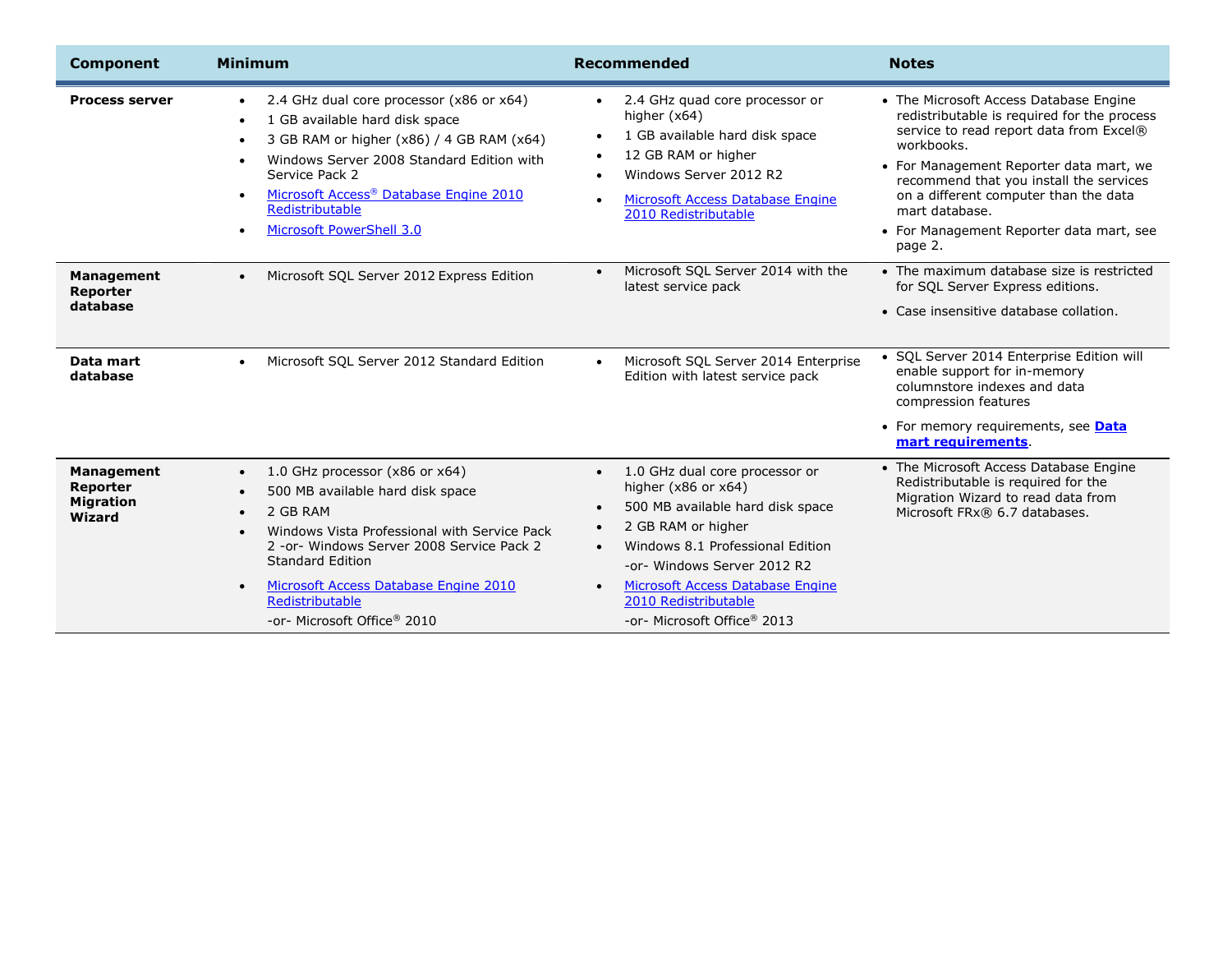| <b>Component</b>                                     | <b>Minimum</b>                                                                                                                                                                                                                                                                                                                                               | Recommended                                                                                                                                                                                                                                                                                                                                        | <b>Notes</b>                                                                                                                                                                                                                                                                                                                                           |
|------------------------------------------------------|--------------------------------------------------------------------------------------------------------------------------------------------------------------------------------------------------------------------------------------------------------------------------------------------------------------------------------------------------------------|----------------------------------------------------------------------------------------------------------------------------------------------------------------------------------------------------------------------------------------------------------------------------------------------------------------------------------------------------|--------------------------------------------------------------------------------------------------------------------------------------------------------------------------------------------------------------------------------------------------------------------------------------------------------------------------------------------------------|
| <b>Process server</b>                                | 2.4 GHz dual core processor (x86 or x64)<br>$\bullet$<br>1 GB available hard disk space<br>$\bullet$<br>3 GB RAM or higher (x86) / 4 GB RAM (x64)<br>Windows Server 2008 Standard Edition with<br>$\bullet$<br>Service Pack 2<br>Microsoft Access <sup>®</sup> Database Engine 2010<br>$\bullet$<br>Redistributable<br>Microsoft PowerShell 3.0<br>$\bullet$ | 2.4 GHz quad core processor or<br>$\bullet$<br>higher $(x64)$<br>1 GB available hard disk space<br>$\bullet$<br>12 GB RAM or higher<br>Windows Server 2012 R2<br>$\bullet$<br>Microsoft Access Database Engine<br>$\bullet$<br>2010 Redistributable                                                                                                | • The Microsoft Access Database Engine<br>redistributable is required for the process<br>service to read report data from Excel®<br>workbooks.<br>• For Management Reporter data mart, we<br>recommend that you install the services<br>on a different computer than the data<br>mart database.<br>• For Management Reporter data mart, see<br>page 2. |
| Management<br>Reporter<br>database                   | Microsoft SQL Server 2012 Express Edition<br>$\bullet$                                                                                                                                                                                                                                                                                                       | Microsoft SQL Server 2014 with the<br>$\bullet$<br>latest service pack                                                                                                                                                                                                                                                                             | • The maximum database size is restricted<br>for SQL Server Express editions.<br>• Case insensitive database collation.                                                                                                                                                                                                                                |
| Data mart<br>database                                | Microsoft SQL Server 2012 Standard Edition<br>$\bullet$                                                                                                                                                                                                                                                                                                      | Microsoft SQL Server 2014 Enterprise<br>$\bullet$<br>Edition with latest service pack                                                                                                                                                                                                                                                              | • SQL Server 2014 Enterprise Edition will<br>enable support for in-memory<br>columnstore indexes and data<br>compression features<br>• For memory requirements, see Data<br>mart requirements                                                                                                                                                          |
| Management<br>Reporter<br><b>Migration</b><br>Wizard | 1.0 GHz processor (x86 or x64)<br>$\bullet$<br>500 MB available hard disk space<br>2 GB RAM<br>$\bullet$<br>Windows Vista Professional with Service Pack<br>$\bullet$<br>2 - or - Windows Server 2008 Service Pack 2<br><b>Standard Edition</b><br>Microsoft Access Database Engine 2010<br>Redistributable<br>-or- Microsoft Office® 2010                   | 1.0 GHz dual core processor or<br>$\bullet$<br>higher $(x86$ or $x64)$<br>500 MB available hard disk space<br>$\bullet$<br>2 GB RAM or higher<br>$\bullet$<br>Windows 8.1 Professional Edition<br>$\bullet$<br>-or- Windows Server 2012 R2<br>Microsoft Access Database Engine<br>$\bullet$<br>2010 Redistributable<br>-or- Microsoft Office® 2013 | • The Microsoft Access Database Engine<br>Redistributable is required for the<br>Migration Wizard to read data from<br>Microsoft FRx® 6.7 databases.                                                                                                                                                                                                   |